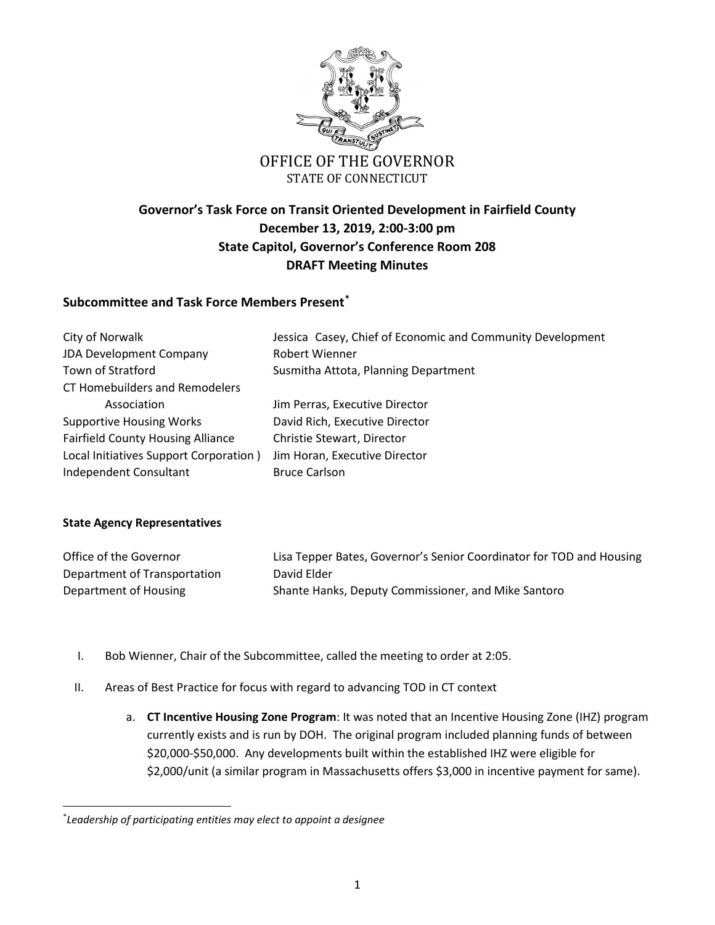

## **Governor's Task Force on Transit Oriented Development in Fairfield County December 13, 2019, 2:00-3:00 pm State Capitol, Governor's Conference Room 208 DRAFT Meeting Minutes**

## **Subcommittee and Task Force Members Presen[t\\*](#page-0-0)**

| City of Norwalk                          | Jessica Casey, Chief of Economic and Community Development |
|------------------------------------------|------------------------------------------------------------|
| JDA Development Company                  | <b>Robert Wienner</b>                                      |
| Town of Stratford                        | Susmitha Attota, Planning Department                       |
| CT Homebuilders and Remodelers           |                                                            |
| Association                              | Jim Perras, Executive Director                             |
| <b>Supportive Housing Works</b>          | David Rich, Executive Director                             |
| <b>Fairfield County Housing Alliance</b> | Christie Stewart, Director                                 |
| Local Initiatives Support Corporation)   | Jim Horan, Executive Director                              |
| Independent Consultant                   | <b>Bruce Carlson</b>                                       |

## **State Agency Representatives**

| Office of the Governor       | Lisa Tepper Bates, Governor's Senior Coordinator for TOD and Housing |
|------------------------------|----------------------------------------------------------------------|
| Department of Transportation | David Elder                                                          |
| Department of Housing        | Shante Hanks, Deputy Commissioner, and Mike Santoro                  |

- I. Bob Wienner, Chair of the Subcommittee, called the meeting to order at 2:05.
- II. Areas of Best Practice for focus with regard to advancing TOD in CT context
	- a. **CT Incentive Housing Zone Program**: It was noted that an Incentive Housing Zone (IHZ) program currently exists and is run by DOH. The original program included planning funds of between \$20,000-\$50,000. Any developments built within the established IHZ were eligible for \$2,000/unit (a similar program in Massachusetts offers \$3,000 in incentive payment for same).

<span id="page-0-0"></span><sup>\*</sup> *Leadership of participating entities may elect to appoint a designee*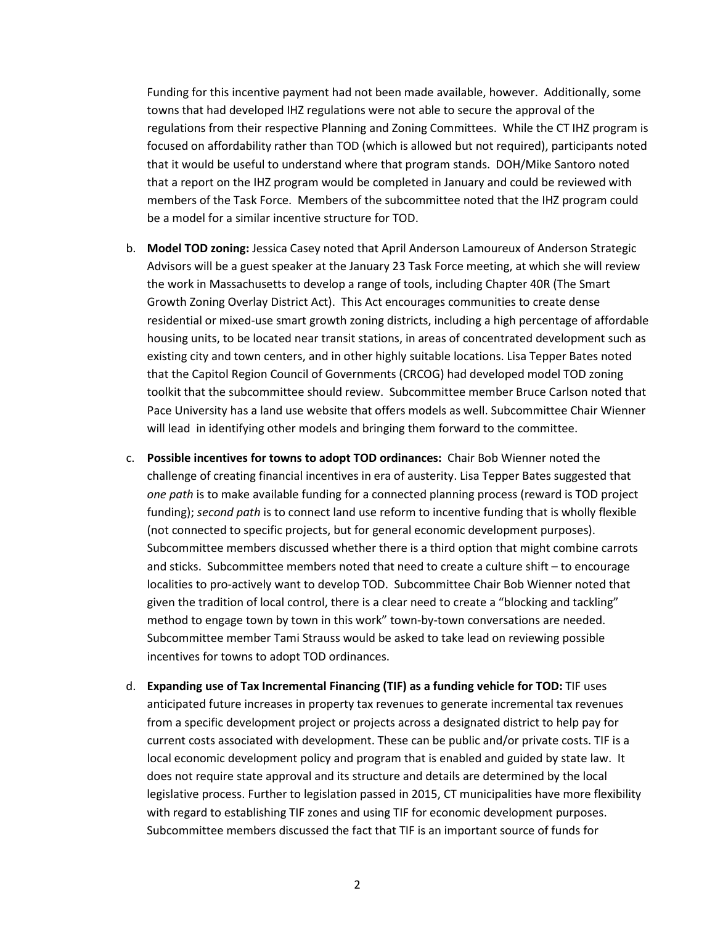Funding for this incentive payment had not been made available, however. Additionally, some towns that had developed IHZ regulations were not able to secure the approval of the regulations from their respective Planning and Zoning Committees. While the CT IHZ program is focused on affordability rather than TOD (which is allowed but not required), participants noted that it would be useful to understand where that program stands. DOH/Mike Santoro noted that a report on the IHZ program would be completed in January and could be reviewed with members of the Task Force. Members of the subcommittee noted that the IHZ program could be a model for a similar incentive structure for TOD.

- b. **Model TOD zoning:** Jessica Casey noted that April Anderson Lamoureux of Anderson Strategic Advisors will be a guest speaker at the January 23 Task Force meeting, at which she will review the work in Massachusetts to develop a range of tools, including Chapter 40R (The Smart Growth Zoning Overlay District Act). This Act encourages communities to create dense residential or mixed-use smart growth zoning districts, including a high percentage of affordable housing units, to be located near transit stations, in areas of concentrated development such as existing city and town centers, and in other highly suitable locations. Lisa Tepper Bates noted that the Capitol Region Council of Governments (CRCOG) had developed model TOD zoning toolkit that the subcommittee should review. Subcommittee member Bruce Carlson noted that Pace University has a land use website that offers models as well. Subcommittee Chair Wienner will lead in identifying other models and bringing them forward to the committee.
- c. **Possible incentives for towns to adopt TOD ordinances:** Chair Bob Wienner noted the challenge of creating financial incentives in era of austerity. Lisa Tepper Bates suggested that *one path* is to make available funding for a connected planning process (reward is TOD project funding); *second path* is to connect land use reform to incentive funding that is wholly flexible (not connected to specific projects, but for general economic development purposes). Subcommittee members discussed whether there is a third option that might combine carrots and sticks. Subcommittee members noted that need to create a culture shift – to encourage localities to pro-actively want to develop TOD. Subcommittee Chair Bob Wienner noted that given the tradition of local control, there is a clear need to create a "blocking and tackling" method to engage town by town in this work" town-by-town conversations are needed. Subcommittee member Tami Strauss would be asked to take lead on reviewing possible incentives for towns to adopt TOD ordinances.
- d. **Expanding use of Tax Incremental Financing (TIF) as a funding vehicle for TOD:** TIF uses anticipated future increases in property tax revenues to generate incremental tax revenues from a specific development project or projects across a designated district to help pay for current costs associated with development. These can be public and/or private costs. TIF is a local economic development policy and program that is enabled and guided by state law. It does not require state approval and its structure and details are determined by the local legislative process. Further to legislation passed in 2015, CT municipalities have more flexibility with regard to establishing TIF zones and using TIF for economic development purposes. Subcommittee members discussed the fact that TIF is an important source of funds for